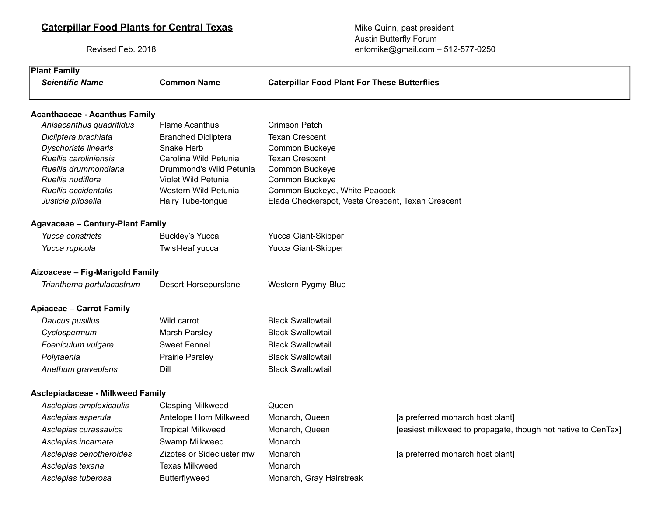# **Caterpillar Food Plants for Central Texas** Mike Quinn, past president

Asclepias tuberosa **Butterflyweed** Monarch, Gray Hairstreak

Austin Butterfly Forum Revised Feb. 2018 **entomike@gmail.com** – 512-577-0250

| <b>Plant Family</b>                     |                            |                                                     |                                                              |
|-----------------------------------------|----------------------------|-----------------------------------------------------|--------------------------------------------------------------|
| <b>Scientific Name</b>                  | <b>Common Name</b>         | <b>Caterpillar Food Plant For These Butterflies</b> |                                                              |
| <b>Acanthaceae - Acanthus Family</b>    |                            |                                                     |                                                              |
| Anisacanthus quadrifidus                | <b>Flame Acanthus</b>      | <b>Crimson Patch</b>                                |                                                              |
| Dicliptera brachiata                    | <b>Branched Dicliptera</b> | <b>Texan Crescent</b>                               |                                                              |
| <b>Dyschoriste linearis</b>             | Snake Herb                 | Common Buckeye                                      |                                                              |
| Ruellia caroliniensis                   | Carolina Wild Petunia      | <b>Texan Crescent</b>                               |                                                              |
| Ruellia drummondiana                    | Drummond's Wild Petunia    | <b>Common Buckeye</b>                               |                                                              |
| Ruellia nudiflora                       | Violet Wild Petunia        | Common Buckeye                                      |                                                              |
| Ruellia occidentalis                    | Western Wild Petunia       | Common Buckeye, White Peacock                       |                                                              |
| Justicia pilosella                      | Hairy Tube-tongue          | Elada Checkerspot, Vesta Crescent, Texan Crescent   |                                                              |
| <b>Agavaceae - Century-Plant Family</b> |                            |                                                     |                                                              |
| Yucca constricta                        | <b>Buckley's Yucca</b>     | Yucca Giant-Skipper                                 |                                                              |
| Yucca rupicola                          | Twist-leaf yucca           | Yucca Giant-Skipper                                 |                                                              |
| Aizoaceae - Fig-Marigold Family         |                            |                                                     |                                                              |
| Trianthema portulacastrum               | Desert Horsepurslane       | Western Pygmy-Blue                                  |                                                              |
| <b>Apiaceae - Carrot Family</b>         |                            |                                                     |                                                              |
| Daucus pusillus                         | Wild carrot                | <b>Black Swallowtail</b>                            |                                                              |
| Cyclospermum                            | Marsh Parsley              | <b>Black Swallowtail</b>                            |                                                              |
| Foeniculum vulgare                      | <b>Sweet Fennel</b>        | <b>Black Swallowtail</b>                            |                                                              |
| Polytaenia                              | <b>Prairie Parsley</b>     | <b>Black Swallowtail</b>                            |                                                              |
| Anethum graveolens                      | Dill                       | <b>Black Swallowtail</b>                            |                                                              |
| <b>Asclepiadaceae - Milkweed Family</b> |                            |                                                     |                                                              |
| Asclepias amplexicaulis                 | <b>Clasping Milkweed</b>   | Queen                                               |                                                              |
| Asclepias asperula                      | Antelope Horn Milkweed     | Monarch, Queen                                      | [a preferred monarch host plant]                             |
| Asclepias curassavica                   | <b>Tropical Milkweed</b>   | Monarch, Queen                                      | [easiest milkweed to propagate, though not native to CenTex] |
| Asclepias incarnata                     | Swamp Milkweed             | Monarch                                             |                                                              |
| Asclepias oenotheroides                 | Zizotes or Sidecluster mw  | Monarch                                             | [a preferred monarch host plant]                             |
|                                         |                            |                                                     |                                                              |
| Asclepias texana                        | <b>Texas Milkweed</b>      | Monarch                                             |                                                              |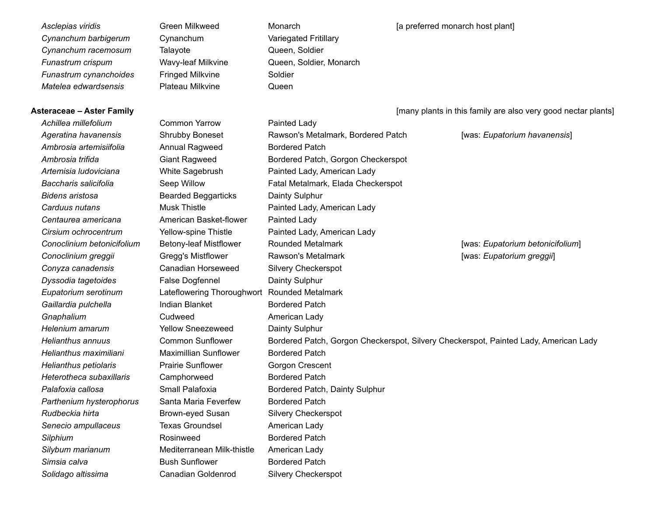*Cynanchum barbigerum* Cynanchum Variegated Fritillary **Cynanchum racemosum** Talayote **Cynanchum racemosum** Talayote **Queen**, Soldier *Funastrum crispum* Wavy-leaf Milkvine Queen, Soldier, Monarch **Funastrum cynanchoides** Fringed Milkvine Soldier *Matelea edwardsensis* Plateau Milkvine Queen

*Achillea millefolium* Common Yarrow Painted Lady Ambrosia artemisiifolia **Annual Ragweed** Bordered Patch *Bidens aristosa* Bearded Beggarticks Dainty Sulphur *Centaurea americana* American Basket-flower Painted Lady *Conoclinium betonicifolium* Betony-leaf Mistflower Rounded Metalmark **Conoclinium greggii** Gregg's Mistflower Rawson's Metalmark *Conyza canadensis* Canadian Horseweed Silvery Checkerspot **Dyssodia tagetoides** False Dogfennel **False Degmeent** Dainty Sulphur *Eupatorium serotinum* Lateflowering Thoroughwort Rounded Metalmark Gaillardia pulchella **Indian Blanket** Bordered Patch **Gnaphalium Cudweed American Lady** *Helenium amarum* Yellow Sneezeweed Dainty Sulphur *Helianthus maximiliani* Maximillian Sunflower Bordered Patch **Helianthus petiolaris Prairie Sunflower** Gorgon Crescent Heterotheca subaxillaris Camphorweed Bordered Patch **Parthenium hysterophorus** Santa Maria Feverfew Bordered Patch *Rudbeckia hirta* Brown-eyed Susan Silvery Checkerspot *Senecio ampullaceus* Texas Groundsel American Lady **Silphium** Rosinweed Bordered Patch *Silybum marianum* Mediterranean Milk-thistle American Lady **Simsia calva Bush Sunflower** Bordered Patch *Solidago altissima* Canadian Goldenrod Silvery Checkerspot

Ageratina havanensis **Shrubby Boneset** Rawson's Metalmark, Bordered Patch Ambrosia trifida **Giant Ragweed** Bordered Patch, Gorgon Checkerspot *Artemisia ludoviciana* White Sagebrush Painted Lady, American Lady *Baccharis salicifolia* Seep Willow Fatal Metalmark, Elada Checkerspot *Carduus nutans* Musk Thistle Painted Lady, American Lady *Cirsium ochrocentrum* Yellow-spine Thistle Painted Lady, American Lady *Helianthus annuus* Common Sunflower Bordered Patch, Gorgon Checkerspot, Silvery Checkerspot, Painted Lady, American Lady *Palafoxia callosa* Small Palafoxia Bordered Patch, Dainty Sulphur

Asclepias viridis **Asclepias viridis** Green Milkweed Monarch Monarch Monarch Monarch **Asclepias viridis** (a preferred monarch host plant)

**Asteraceae – Aster Family Asteraceae – Aster Family and Step 2018** [many plants in this family are also very good nectar plants]

[was: *Eupatorium havanensis*]

[was: *Eupatorium betonicifolium*] [was: *Eupatorium greggii*]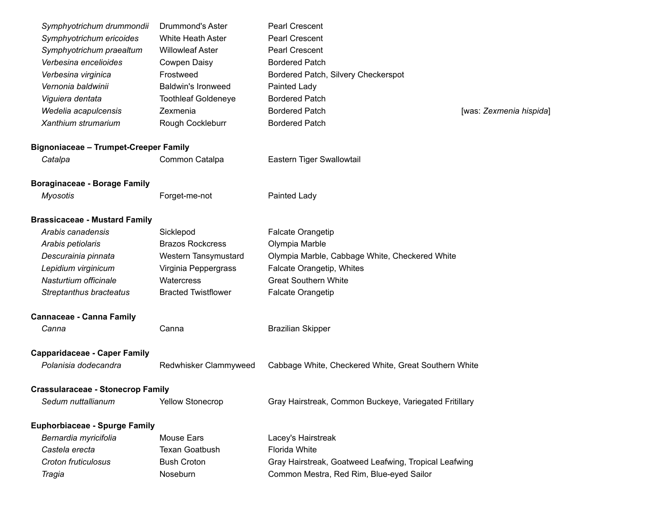| Symphyotrichum drummondii                    | Drummond's Aster           | <b>Pearl Crescent</b>                                  |                         |
|----------------------------------------------|----------------------------|--------------------------------------------------------|-------------------------|
| Symphyotrichum ericoides                     | White Heath Aster          | <b>Pearl Crescent</b>                                  |                         |
| Symphyotrichum praealtum                     | <b>Willowleaf Aster</b>    | <b>Pearl Crescent</b>                                  |                         |
| Verbesina encelioides                        | <b>Cowpen Daisy</b>        | <b>Bordered Patch</b>                                  |                         |
| Verbesina virginica                          | Frostweed                  | Bordered Patch, Silvery Checkerspot                    |                         |
| Vernonia baldwinii                           | <b>Baldwin's Ironweed</b>  | Painted Lady                                           |                         |
| Viguiera dentata                             | <b>Toothleaf Goldeneye</b> | <b>Bordered Patch</b>                                  |                         |
| Wedelia acapulcensis                         | Zexmenia                   | <b>Bordered Patch</b>                                  | [was: Zexmenia hispida] |
| Xanthium strumarium                          | Rough Cockleburr           | <b>Bordered Patch</b>                                  |                         |
| <b>Bignoniaceae - Trumpet-Creeper Family</b> |                            |                                                        |                         |
| Catalpa                                      | Common Catalpa             | Eastern Tiger Swallowtail                              |                         |
| <b>Boraginaceae - Borage Family</b>          |                            |                                                        |                         |
| <b>Myosotis</b>                              | Forget-me-not              | Painted Lady                                           |                         |
| <b>Brassicaceae - Mustard Family</b>         |                            |                                                        |                         |
| Arabis canadensis                            | Sicklepod                  | <b>Falcate Orangetip</b>                               |                         |
| Arabis petiolaris                            | <b>Brazos Rockcress</b>    | Olympia Marble                                         |                         |
| Descurainia pinnata                          | Western Tansymustard       | Olympia Marble, Cabbage White, Checkered White         |                         |
| Lepidium virginicum                          | Virginia Peppergrass       | Falcate Orangetip, Whites                              |                         |
| Nasturtium officinale                        | Watercress                 | <b>Great Southern White</b>                            |                         |
| Streptanthus bracteatus                      | <b>Bracted Twistflower</b> | <b>Falcate Orangetip</b>                               |                         |
| <b>Cannaceae - Canna Family</b>              |                            |                                                        |                         |
| Canna                                        | Canna                      | <b>Brazilian Skipper</b>                               |                         |
| <b>Capparidaceae - Caper Family</b>          |                            |                                                        |                         |
| Polanisia dodecandra                         | Redwhisker Clammyweed      | Cabbage White, Checkered White, Great Southern White   |                         |
| <b>Crassularaceae - Stonecrop Family</b>     |                            |                                                        |                         |
| Sedum nuttallianum                           | <b>Yellow Stonecrop</b>    | Gray Hairstreak, Common Buckeye, Variegated Fritillary |                         |
| <b>Euphorbiaceae - Spurge Family</b>         |                            |                                                        |                         |
| Bernardia myricifolia                        | Mouse Ears                 | Lacey's Hairstreak                                     |                         |
| Castela erecta                               | <b>Texan Goatbush</b>      | Florida White                                          |                         |
| Croton fruticulosus                          | <b>Bush Croton</b>         | Gray Hairstreak, Goatweed Leafwing, Tropical Leafwing  |                         |
| Tragia                                       | Noseburn                   | Common Mestra, Red Rim, Blue-eyed Sailor               |                         |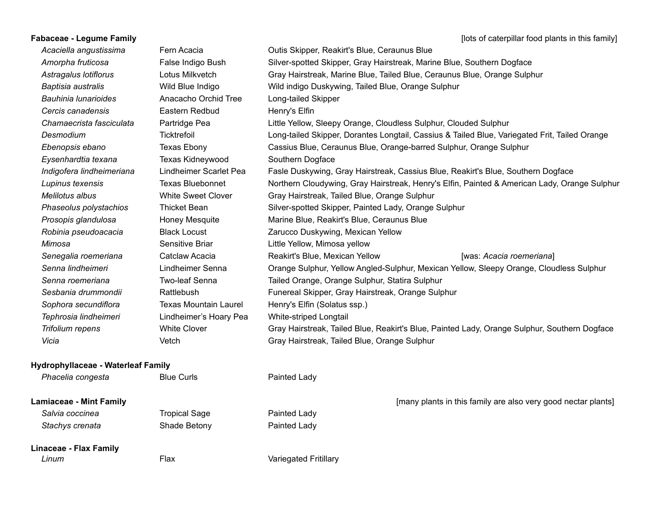**Fabaceae - Legume Family Fabaceae - Legume Family Fabaceae - Legume Family Fabaceae - Legume Family Fabaceae** - Legume Family **Fabaceae** - Legume Family **Fabaceae** - Legume Family **Fabaceae** - Legume Family **Fabac** *Acaciella angustissima* Fern Acacia Outis Skipper, Reakirt's Blue, Ceraunus Blue *Amorpha fruticosa* False Indigo Bush Silver-spotted Skipper, Gray Hairstreak, Marine Blue, Southern Dogface *Astragalus lotiflorus* Lotus Milkvetch Gray Hairstreak, Marine Blue, Tailed Blue, Ceraunus Blue, Orange Sulphur *Baptisia australis* Wild Blue Indigo Wild indigo Duskywing, Tailed Blue, Orange Sulphur *Bauhinia lunarioides* Anacacho Orchid Tree Long-tailed Skipper **Cercis canadensis** Eastern Redbud Henry's Elfin *Chamaecrista fasciculata* Partridge Pea Little Yellow, Sleepy Orange, Cloudless Sulphur, Clouded Sulphur *Desmodium* Ticktrefoil Long-tailed Skipper, Dorantes Longtail, Cassius & Tailed Blue, Variegated Frit, Tailed Orange *Ebenopsis ebano* Texas Ebony Cassius Blue, Ceraunus Blue, Orange-barred Sulphur, Orange Sulphur *Eysenhardtia texana* Texas Kidneywood Southern Dogface *Indigofera lindheimeriana* Lindheimer Scarlet Pea Fasle Duskywing, Gray Hairstreak, Cassius Blue, Reakirt's Blue, Southern Dogface *Lupinus texensis* Texas Bluebonnet Northern Cloudywing, Gray Hairstreak, Henry's Elfin, Painted & American Lady, Orange Sulphur *Melilotus albus* White Sweet Clover Gray Hairstreak, Tailed Blue, Orange Sulphur Phaseolus polystachios Thicket Bean Silver-spotted Skipper, Painted Lady, Orange Sulphur *Prosopis glandulosa* Honey Mesquite Marine Blue, Reakirt's Blue, Ceraunus Blue *Robinia pseudoacacia* Black Locust Zarucco Duskywing, Mexican Yellow *Mimosa* Sensitive Briar **Mimosa** yellow Construction Constants Little Yellow, Mimosa yellow *Senegalia roemeriana* Catclaw Acacia Reakirt's Blue, Mexican Yellow *Senna lindheimeri* Lindheimer Senna Orange Sulphur, Yellow Angled-Sulphur, Mexican Yellow, Sleepy Orange, Cloudless Sulphur *Senna roemeriana* Two-leaf Senna Tailed Orange, Orange Sulphur, Statira Sulphur **Sesbania drummondii** Rattlebush **Funereal Skipper, Gray Hairstreak, Orange Sulphur** *Sophora secundiflora* Texas Mountain Laurel Henry's Elfin (Solatus ssp.) *Tephrosia lindheimeri* Lindheimer's Hoary Pea White-striped Longtail *Trifolium repens* White Clover Gray Hairstreak, Tailed Blue, Reakirt's Blue, Painted Lady, Orange Sulphur, Southern Dogface *Vicia* Vetch Gray Hairstreak, Tailed Blue, Orange Sulphur [was: *Acacia roemeriana*]

#### **Hydrophyllaceae - Waterleaf Family**

| Phacelia congesta              | <b>Blue Curls</b>    | Painted Lady          |                                                               |
|--------------------------------|----------------------|-----------------------|---------------------------------------------------------------|
| <b>Lamiaceae - Mint Family</b> |                      |                       | [many plants in this family are also very good nectar plants] |
| Salvia coccinea                | <b>Tropical Sage</b> | Painted Lady          |                                                               |
| Stachys crenata                | Shade Betony         | Painted Lady          |                                                               |
| Linaceae - Flax Family         |                      |                       |                                                               |
| Linum                          | Flax                 | Variegated Fritillary |                                                               |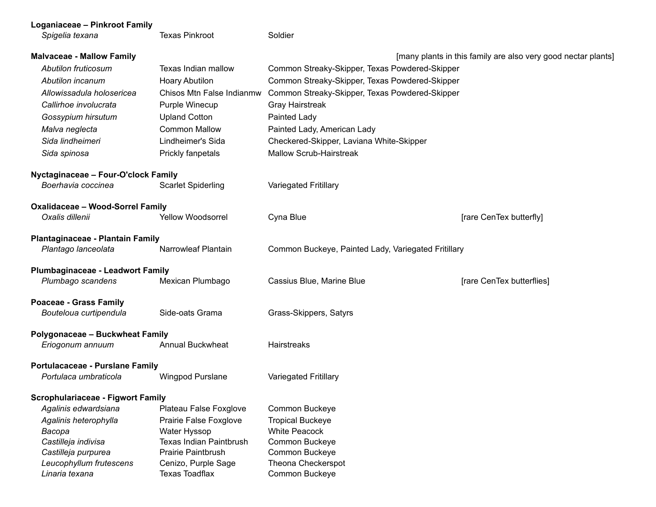| Loganiaceae - Pinkroot Family             |                                              |                                                     |                                                               |
|-------------------------------------------|----------------------------------------------|-----------------------------------------------------|---------------------------------------------------------------|
| Spigelia texana                           | <b>Texas Pinkroot</b>                        | Soldier                                             |                                                               |
| <b>Malvaceae - Mallow Family</b>          |                                              |                                                     | [many plants in this family are also very good nectar plants] |
| Abutilon fruticosum                       | Texas Indian mallow                          | Common Streaky-Skipper, Texas Powdered-Skipper      |                                                               |
| Abutilon incanum                          | Hoary Abutilon                               | Common Streaky-Skipper, Texas Powdered-Skipper      |                                                               |
| Allowissadula holosericea                 | Chisos Mtn False Indianmw                    | Common Streaky-Skipper, Texas Powdered-Skipper      |                                                               |
| Callirhoe involucrata                     | Purple Winecup                               | <b>Gray Hairstreak</b>                              |                                                               |
| Gossypium hirsutum                        | <b>Upland Cotton</b>                         | Painted Lady                                        |                                                               |
| Malva neglecta                            | <b>Common Mallow</b>                         | Painted Lady, American Lady                         |                                                               |
| Sida lindheimeri                          | Lindheimer's Sida                            | Checkered-Skipper, Laviana White-Skipper            |                                                               |
| Sida spinosa                              | Prickly fanpetals                            | <b>Mallow Scrub-Hairstreak</b>                      |                                                               |
| Nyctaginaceae - Four-O'clock Family       |                                              |                                                     |                                                               |
| Boerhavia coccinea                        | <b>Scarlet Spiderling</b>                    | <b>Variegated Fritillary</b>                        |                                                               |
| <b>Oxalidaceae - Wood-Sorrel Family</b>   |                                              |                                                     |                                                               |
| Oxalis dillenii                           | <b>Yellow Woodsorrel</b>                     | Cyna Blue                                           | [rare CenTex butterfly]                                       |
| Plantaginaceae - Plantain Family          |                                              |                                                     |                                                               |
| Plantago lanceolata                       | Narrowleaf Plantain                          | Common Buckeye, Painted Lady, Variegated Fritillary |                                                               |
| <b>Plumbaginaceae - Leadwort Family</b>   |                                              |                                                     |                                                               |
| Plumbago scandens                         | Mexican Plumbago                             | Cassius Blue, Marine Blue                           | [rare CenTex butterflies]                                     |
| Poaceae - Grass Family                    |                                              |                                                     |                                                               |
| Bouteloua curtipendula                    | Side-oats Grama                              | Grass-Skippers, Satyrs                              |                                                               |
| Polygonaceae - Buckwheat Family           |                                              |                                                     |                                                               |
| Eriogonum annuum                          | <b>Annual Buckwheat</b>                      | Hairstreaks                                         |                                                               |
| Portulacaceae - Purslane Family           |                                              |                                                     |                                                               |
| Portulaca umbraticola                     | Wingpod Purslane                             | <b>Variegated Fritillary</b>                        |                                                               |
| <b>Scrophulariaceae - Figwort Family</b>  |                                              |                                                     |                                                               |
| Agalinis edwardsiana                      | Plateau False Foxglove                       | Common Buckeye                                      |                                                               |
| Agalinis heterophylla                     | Prairie False Foxglove                       | <b>Tropical Buckeye</b>                             |                                                               |
| Bacopa                                    | Water Hyssop                                 | <b>White Peacock</b>                                |                                                               |
| Castilleja indivisa                       | <b>Texas Indian Paintbrush</b>               | Common Buckeye                                      |                                                               |
| Castilleja purpurea                       | <b>Prairie Paintbrush</b>                    | Common Buckeye                                      |                                                               |
| Leucophyllum frutescens<br>Linaria texana | Cenizo, Purple Sage<br><b>Texas Toadflax</b> | Theona Checkerspot<br>Common Buckeye                |                                                               |
|                                           |                                              |                                                     |                                                               |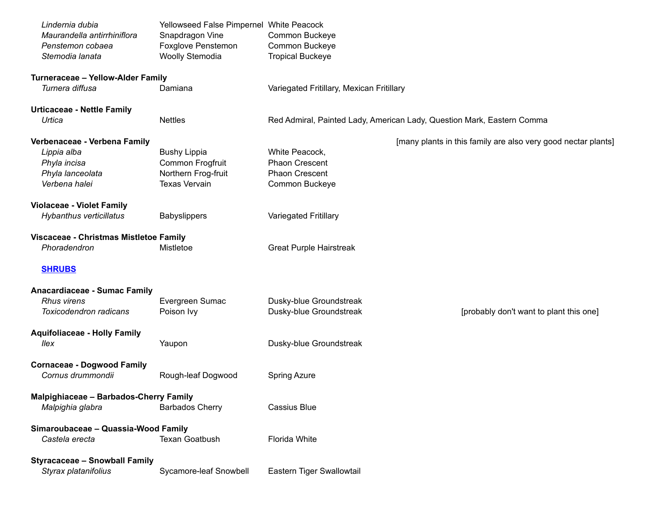| Lindernia dubia<br>Maurandella antirrhiniflora<br>Penstemon cobaea<br>Stemodia lanata | Yellowseed False Pimpernel White Peacock<br>Snapdragon Vine<br>Foxglove Penstemon<br>Woolly Stemodia | Common Buckeye<br>Common Buckeye<br><b>Tropical Buckeye</b> |                                                                        |
|---------------------------------------------------------------------------------------|------------------------------------------------------------------------------------------------------|-------------------------------------------------------------|------------------------------------------------------------------------|
| Turneraceae - Yellow-Alder Family<br>Turnera diffusa                                  | Damiana                                                                                              | Variegated Fritillary, Mexican Fritillary                   |                                                                        |
|                                                                                       |                                                                                                      |                                                             |                                                                        |
| <b>Urticaceae - Nettle Family</b><br>Urtica                                           | <b>Nettles</b>                                                                                       |                                                             | Red Admiral, Painted Lady, American Lady, Question Mark, Eastern Comma |
| Verbenaceae - Verbena Family                                                          |                                                                                                      |                                                             | [many plants in this family are also very good nectar plants]          |
| Lippia alba                                                                           | <b>Bushy Lippia</b>                                                                                  | White Peacock,                                              |                                                                        |
| Phyla incisa                                                                          | Common Frogfruit                                                                                     | <b>Phaon Crescent</b>                                       |                                                                        |
| Phyla lanceolata                                                                      | Northern Frog-fruit                                                                                  | <b>Phaon Crescent</b>                                       |                                                                        |
| Verbena halei                                                                         | <b>Texas Vervain</b>                                                                                 | Common Buckeye                                              |                                                                        |
| <b>Violaceae - Violet Family</b>                                                      |                                                                                                      |                                                             |                                                                        |
| Hybanthus verticillatus                                                               | <b>Babyslippers</b>                                                                                  | Variegated Fritillary                                       |                                                                        |
| Viscaceae - Christmas Mistletoe Family                                                |                                                                                                      |                                                             |                                                                        |
| Phoradendron                                                                          | Mistletoe                                                                                            | <b>Great Purple Hairstreak</b>                              |                                                                        |
| <b>SHRUBS</b>                                                                         |                                                                                                      |                                                             |                                                                        |
| <b>Anacardiaceae - Sumac Family</b>                                                   |                                                                                                      |                                                             |                                                                        |
| <b>Rhus virens</b>                                                                    | Evergreen Sumac                                                                                      | Dusky-blue Groundstreak                                     |                                                                        |
| Toxicodendron radicans                                                                | Poison Ivy                                                                                           | Dusky-blue Groundstreak                                     | [probably don't want to plant this one]                                |
| <b>Aquifoliaceae - Holly Family</b><br>llex                                           | Yaupon                                                                                               | Dusky-blue Groundstreak                                     |                                                                        |
| <b>Cornaceae - Dogwood Family</b>                                                     |                                                                                                      |                                                             |                                                                        |
| Cornus drummondii                                                                     | Rough-leaf Dogwood                                                                                   | <b>Spring Azure</b>                                         |                                                                        |
| Malpighiaceae - Barbados-Cherry Family<br>Malpighia glabra                            | <b>Barbados Cherry</b>                                                                               | <b>Cassius Blue</b>                                         |                                                                        |
| Simaroubaceae - Quassia-Wood Family<br>Castela erecta                                 | <b>Texan Goatbush</b>                                                                                | <b>Florida White</b>                                        |                                                                        |
| <b>Styracaceae - Snowball Family</b><br>Styrax platanifolius                          | Sycamore-leaf Snowbell                                                                               | Eastern Tiger Swallowtail                                   |                                                                        |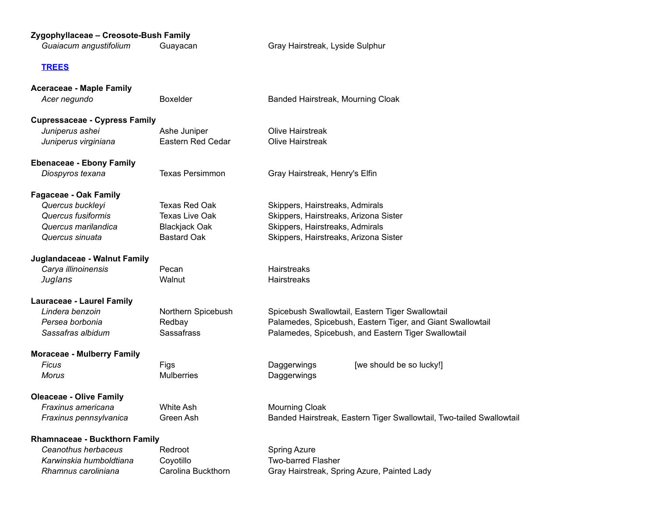#### **Zygophyllaceae – Creosote-Bush Family**

| Zygophyllaceae – Creosote-Bush Family<br>Guaiacum angustifolium<br>Guayacan |                   | Gray Hairstreak, Lyside Sulphur       |  |  |
|-----------------------------------------------------------------------------|-------------------|---------------------------------------|--|--|
| <b>TREES</b>                                                                |                   |                                       |  |  |
| <b>Aceraceae - Maple Family</b>                                             |                   |                                       |  |  |
| Acer negundo                                                                | Boxelder          | Banded Hairstreak, Mourning Cloak     |  |  |
| <b>Cupressaceae - Cypress Family</b>                                        |                   |                                       |  |  |
| Juniperus ashei                                                             | Ashe Juniper      | Olive Hairstreak                      |  |  |
| Juniperus virginiana                                                        | Eastern Red Cedar | Olive Hairstreak                      |  |  |
| <b>Ebenaceae - Ebony Family</b>                                             |                   |                                       |  |  |
| Diospyros texana                                                            | Texas Persimmon   | Gray Hairstreak, Henry's Elfin        |  |  |
| <b>Fagaceae - Oak Family</b>                                                |                   |                                       |  |  |
| Quercus buckleyi                                                            | Texas Red Oak     | Skippers, Hairstreaks, Admirals       |  |  |
| Quercus fusiformis                                                          | Texas Live Oak    | Skippers, Hairstreaks, Arizona Sister |  |  |

# *Quercus marilandica* Blackjack Oak Skippers, Hairstreaks, Admirals *Quercus sinuata* Bastard Oak Skippers, Hairstreaks, Arizona Sister

#### **Juglandaceae - Walnut Family**

**Carya illinoinensis** Pecan Pecan Hairstreaks *Juglans* Walnut Walnut Hairstreaks

## **Lauraceae - Laurel Family**

| Lindera benzoin   | Northern Spicebush | Spicebush Swallowtail, Eastern Tiger Swallowtail           |
|-------------------|--------------------|------------------------------------------------------------|
| Persea borbonia   | Redbav             | Palamedes, Spicebush, Eastern Tiger, and Giant Swallowtail |
| Sassafras albidum | Sassafrass         | Palamedes, Spicebush, and Eastern Tiger Swallowtail        |

### **Moraceae - Mulberry Family**

```
Morus Mulberries Daggerwings
```
Ficus **Figs** Figs **Example 2** Figs **Example 2** Daggerwings [we should be so lucky!]

### **Oleaceae - Olive Family**

**Fraxinus americana** White Ash Mourning Cloak

*Fraxinus pennsylvanica* Green Ash Banded Hairstreak, Eastern Tiger Swallowtail, Two-tailed Swallowtail

#### **Rhamnaceae - Buckthorn Family**

Karwinskia humboldtiana Coyotillo **Two-barred Flasher** 

**Ceanothus herbaceus** Redroot **Redroot** Spring Azure

*Rhamnus caroliniana* Carolina Buckthorn Gray Hairstreak, Spring Azure, Painted Lady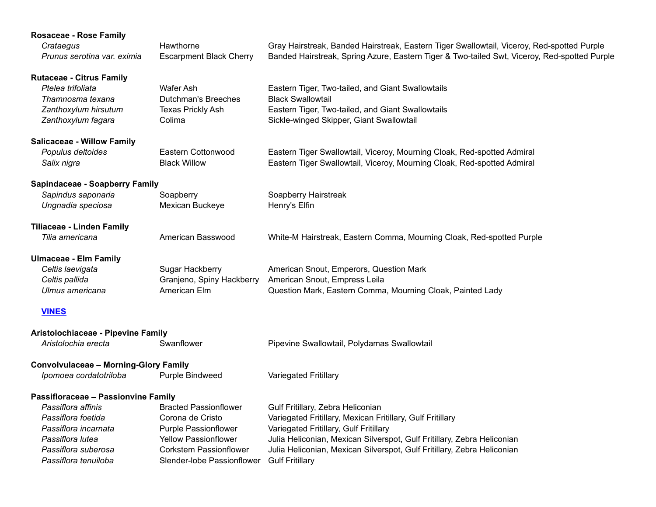# **Rosaceae - Rose Family**

| Crataegus                   | Hawthorne | Gray Hairstreak, Banded Hairstreak, Eastern Tiger Swallowtail, Viceroy, Red-spotted Purple                           |
|-----------------------------|-----------|----------------------------------------------------------------------------------------------------------------------|
| Prunus serotina var. eximia |           | Escarpment Black Cherry Banded Hairstreak, Spring Azure, Eastern Tiger & Two-tailed Swt, Viceroy, Red-spotted Purple |

| <b>Rutaceae - Citrus Family</b><br>Ptelea trifoliata<br>Thamnosma texana<br>Zanthoxylum hirsutum<br>Zanthoxylum fagara | <b>Wafer Ash</b><br><b>Dutchman's Breeches</b><br>Texas Prickly Ash<br>Colima | Eastern Tiger, Two-tailed, and Giant Swallowtails<br><b>Black Swallowtail</b><br>Eastern Tiger, Two-tailed, and Giant Swallowtails<br>Sickle-winged Skipper, Giant Swallowtail |
|------------------------------------------------------------------------------------------------------------------------|-------------------------------------------------------------------------------|--------------------------------------------------------------------------------------------------------------------------------------------------------------------------------|
| <b>Salicaceae - Willow Family</b><br>Populus deltoides<br>Salix nigra                                                  | Eastern Cottonwood<br><b>Black Willow</b>                                     | Eastern Tiger Swallowtail, Viceroy, Mourning Cloak, Red-spotted Admiral<br>Eastern Tiger Swallowtail, Viceroy, Mourning Cloak, Red-spotted Admiral                             |
| Sapindaceae - Soapberry Family                                                                                         |                                                                               |                                                                                                                                                                                |
| Sapindus saponaria<br>Ungnadia speciosa                                                                                | Soapberry<br>Mexican Buckeye                                                  | Soapberry Hairstreak<br>Henry's Elfin                                                                                                                                          |
| <b>Tiliaceae - Linden Family</b><br>Tilia americana                                                                    | American Basswood                                                             | White-M Hairstreak, Eastern Comma, Mourning Cloak, Red-spotted Purple                                                                                                          |
| <b>Ulmaceae - Elm Family</b><br>Celtis laevigata<br>Celtis pallida<br>Ulmus americana                                  | Sugar Hackberry<br>Granjeno, Spiny Hackberry<br>American Elm                  | American Snout, Emperors, Question Mark<br>American Snout, Empress Leila<br>Question Mark, Eastern Comma, Mourning Cloak, Painted Lady                                         |
| <b>VINES</b>                                                                                                           |                                                                               |                                                                                                                                                                                |
| Aristolochiaceae - Pipevine Family                                                                                     |                                                                               |                                                                                                                                                                                |
| Aristolochia erecta                                                                                                    | Swanflower                                                                    | Pipevine Swallowtail, Polydamas Swallowtail                                                                                                                                    |
| <b>Convolvulaceae - Morning-Glory Family</b>                                                                           |                                                                               |                                                                                                                                                                                |
| Ipomoea cordatotriloba                                                                                                 | Purple Bindweed                                                               | Variegated Fritillary                                                                                                                                                          |
| Passifloraceae - Passionvine Family                                                                                    |                                                                               |                                                                                                                                                                                |
| Passiflora affinis                                                                                                     | <b>Bracted Passionflower</b>                                                  | Gulf Fritillary, Zebra Heliconian                                                                                                                                              |
| Passiflora foetida                                                                                                     | Corona de Cristo                                                              | Variegated Fritillary, Mexican Fritillary, Gulf Fritillary                                                                                                                     |
| Passiflora incarnata                                                                                                   | <b>Purple Passionflower</b>                                                   | Variegated Fritillary, Gulf Fritillary                                                                                                                                         |
| Passiflora lutea                                                                                                       | <b>Yellow Passionflower</b>                                                   | Julia Heliconian, Mexican Silverspot, Gulf Fritillary, Zebra Heliconian                                                                                                        |
| Passiflora suberosa                                                                                                    | <b>Corkstem Passionflower</b>                                                 | Julia Heliconian, Mexican Silverspot, Gulf Fritillary, Zebra Heliconian                                                                                                        |
| Passiflora tenuiloba                                                                                                   | Slender-lobe Passionflower                                                    | <b>Gulf Fritillary</b>                                                                                                                                                         |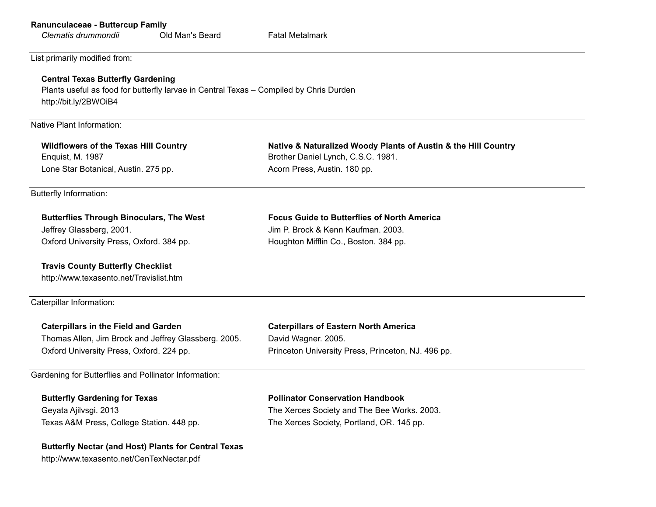| Ranunculaceae - Buttercup Family |  |  |  |
|----------------------------------|--|--|--|
|----------------------------------|--|--|--|

| Clematis drummondii | Old Man's Beard | <b>Fatal Metalmark</b> |
|---------------------|-----------------|------------------------|
|                     |                 |                        |

List primarily modified from:

#### **Central Texas Butterfly Gardening**

Plants useful as food for butterfly larvae in Central Texas – Compiled by Chris Durden http://bit.ly/2BWOiB4

Native Plant Information:

Enquist, M. 1987 **Brother Daniel Lynch, C.S.C. 1981.** Brother Daniel Lynch, C.S.C. 1981. Lone Star Botanical, Austin. 275 pp. **Acorn Press, Austin. 180 pp.** Acorn Press, Austin. 180 pp.

**Travis County Butterfly Checklist** http://www.texasento.net/Travislist.htm

**Wildflowers of the Texas Hill Country Native & Naturalized Woody Plants of Austin & the Hill Country**

Butterfly Information:

| <b>Butterflies Through Binoculars, The West</b> | <b>Focus Guide to Butterflies of North America</b> |
|-------------------------------------------------|----------------------------------------------------|
| Jeffrey Glassberg, 2001.                        | Jim P. Brock & Kenn Kaufman, 2003.                 |
| Oxford University Press, Oxford. 384 pp.        | Houghton Mifflin Co., Boston. 384 pp.              |

Caterpillar Information:

| <b>Caterpillars in the Field and Garden</b>           | <b>Caterpillars of Eastern North America</b>       |
|-------------------------------------------------------|----------------------------------------------------|
| Thomas Allen, Jim Brock and Jeffrey Glassberg. 2005.  | David Wagner, 2005.                                |
| Oxford University Press, Oxford. 224 pp.              | Princeton University Press, Princeton, NJ. 496 pp. |
|                                                       |                                                    |
| Candanina far Duttarfliae and Dellinater Information: |                                                    |

Gardening for Butterflies and Pollinator Information:

Texas A&M Press, College Station. 448 pp. The Xerces Society, Portland, OR. 145 pp.

#### **Butterfly Gardening for Texas Pollinator Conservation Handbook**

Geyata Ajilvsgi. 2013 The Xerces Society and The Bee Works. 2003.

#### **Butterfly Nectar (and Host) Plants for Central Texas**

http://www.texasento.net/CenTexNectar.pdf